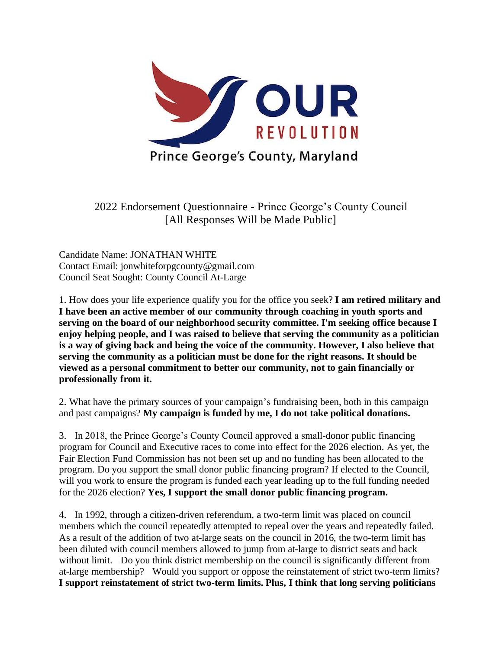

2022 Endorsement Questionnaire - Prince George's County Council [All Responses Will be Made Public]

Candidate Name: JONATHAN WHITE Contact Email: jonwhiteforpgcounty@gmail.com Council Seat Sought: County Council At-Large

1. How does your life experience qualify you for the office you seek? **I am retired military and I have been an active member of our community through coaching in youth sports and serving on the board of our neighborhood security committee. I'm seeking office because I enjoy helping people, and I was raised to believe that serving the community as a politician is a way of giving back and being the voice of the community. However, I also believe that serving the community as a politician must be done for the right reasons. It should be viewed as a personal commitment to better our community, not to gain financially or professionally from it.** 

2. What have the primary sources of your campaign's fundraising been, both in this campaign and past campaigns? **My campaign is funded by me, I do not take political donations.**

3. In 2018, the Prince George's County Council approved a small-donor public financing program for Council and Executive races to come into effect for the 2026 election. As yet, the Fair Election Fund Commission has not been set up and no funding has been allocated to the program. Do you support the small donor public financing program? If elected to the Council, will you work to ensure the program is funded each year leading up to the full funding needed for the 2026 election? **Yes, I support the small donor public financing program.**

4. In 1992, through a citizen-driven referendum, a two-term limit was placed on council members which the council repeatedly attempted to repeal over the years and repeatedly failed. As a result of the addition of two at-large seats on the council in 2016, the two-term limit has been diluted with council members allowed to jump from at-large to district seats and back without limit. Do you think district membership on the council is significantly different from at-large membership? Would you support or oppose the reinstatement of strict two-term limits? **I support reinstatement of strict two-term limits. Plus, I think that long serving politicians**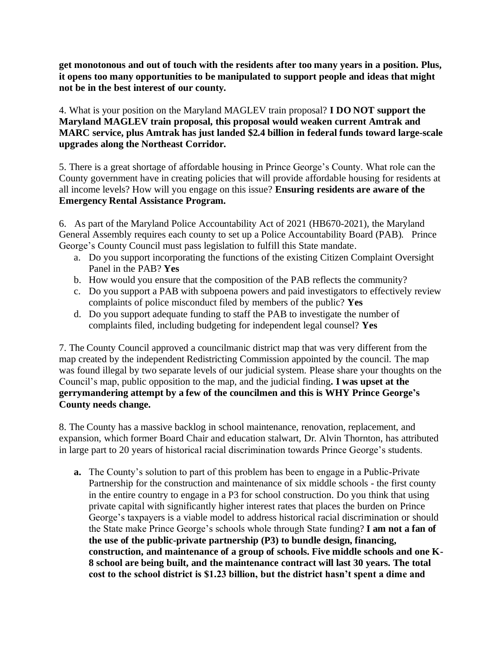**get monotonous and out of touch with the residents after too many years in a position. Plus, it opens too many opportunities to be manipulated to support people and ideas that might not be in the best interest of our county.**

4. What is your position on the Maryland MAGLEV train proposal? **I DO NOT support the Maryland MAGLEV train proposal, this proposal would weaken current Amtrak and MARC service, plus Amtrak has just landed \$2.4 billion in federal funds toward large-scale upgrades along the Northeast Corridor.**

5. There is a great shortage of affordable housing in Prince George's County. What role can the County government have in creating policies that will provide affordable housing for residents at all income levels? How will you engage on this issue? **Ensuring residents are aware of the Emergency Rental Assistance Program.**

6. As part of the Maryland Police Accountability Act of 2021 (HB670-2021), the Maryland General Assembly requires each county to set up a Police Accountability Board (PAB). Prince George's County Council must pass legislation to fulfill this State mandate.

- a. Do you support incorporating the functions of the existing Citizen Complaint Oversight Panel in the PAB? **Yes**
- b. How would you ensure that the composition of the PAB reflects the community?
- c. Do you support a PAB with subpoena powers and paid investigators to effectively review complaints of police misconduct filed by members of the public? **Yes**
- d. Do you support adequate funding to staff the PAB to investigate the number of complaints filed, including budgeting for independent legal counsel? **Yes**

7. The County Council approved a councilmanic district map that was very different from the map created by the independent Redistricting Commission appointed by the council. The map was found illegal by two separate levels of our judicial system. Please share your thoughts on the Council's map, public opposition to the map, and the judicial finding**. I was upset at the gerrymandering attempt by a few of the councilmen and this is WHY Prince George's County needs change.**

8. The County has a massive backlog in school maintenance, renovation, replacement, and expansion, which former Board Chair and education stalwart, Dr. Alvin Thornton, has attributed in large part to 20 years of historical racial discrimination towards Prince George's students.

**a.** The County's solution to part of this problem has been to engage in a Public-Private Partnership for the construction and maintenance of six middle schools - the first county in the entire country to engage in a P3 for school construction. Do you think that using private capital with significantly higher interest rates that places the burden on Prince George's taxpayers is a viable model to address historical racial discrimination or should the State make Prince George's schools whole through State funding? **I am not a fan of the use of the public-private partnership (P3) to bundle design, financing, construction, and maintenance of a group of schools. Five middle schools and one K-8 school are being built, and the maintenance contract will last 30 years. The total cost to the school district is \$1.23 billion, but the district hasn't spent a dime and**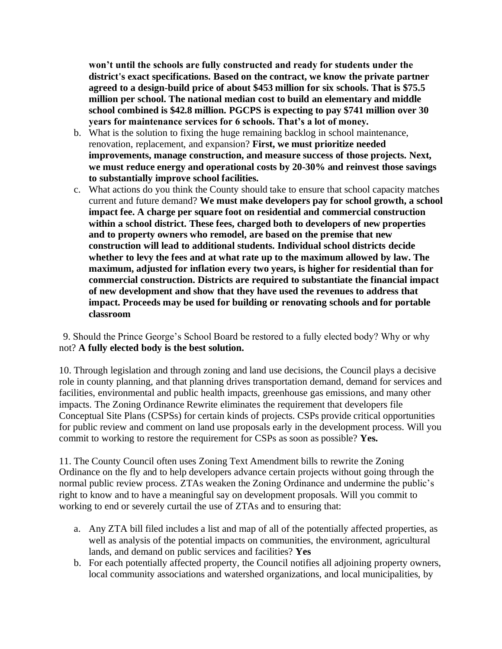**won't until the schools are fully constructed and ready for students under the district's exact specifications. Based on the contract, we know the private partner agreed to a design-build price of about \$453 million for six schools. That is \$75.5 million per school. The national median cost to build an elementary and middle school combined is \$42.8 million. PGCPS is expecting to pay \$741 million over 30 years for maintenance services for 6 schools. That's a lot of money.**

- b. What is the solution to fixing the huge remaining backlog in school maintenance, renovation, replacement, and expansion? **First, we must prioritize needed improvements, manage construction, and measure success of those projects. Next, we must reduce energy and operational costs by 20-30% and reinvest those savings to substantially improve school facilities.**
- c. What actions do you think the County should take to ensure that school capacity matches current and future demand? **We must make developers pay for school growth, a school impact fee. A charge per square foot on residential and commercial construction within a school district. These fees, charged both to developers of new properties and to property owners who remodel, are based on the premise that new construction will lead to additional students. Individual school districts decide whether to levy the fees and at what rate up to the maximum allowed by law. The maximum, adjusted for inflation every two years, is higher for residential than for commercial construction. Districts are required to substantiate the financial impact of new development and show that they have used the revenues to address that impact. Proceeds may be used for building or renovating schools and for portable classroom**

9. Should the Prince George's School Board be restored to a fully elected body? Why or why not? **A fully elected body is the best solution.**

10. Through legislation and through zoning and land use decisions, the Council plays a decisive role in county planning, and that planning drives transportation demand, demand for services and facilities, environmental and public health impacts, greenhouse gas emissions, and many other impacts. The Zoning Ordinance Rewrite eliminates the requirement that developers file Conceptual Site Plans (CSPSs) for certain kinds of projects. CSPs provide critical opportunities for public review and comment on land use proposals early in the development process. Will you commit to working to restore the requirement for CSPs as soon as possible? **Yes.**

11. The County Council often uses Zoning Text Amendment bills to rewrite the Zoning Ordinance on the fly and to help developers advance certain projects without going through the normal public review process. ZTAs weaken the Zoning Ordinance and undermine the public's right to know and to have a meaningful say on development proposals. Will you commit to working to end or severely curtail the use of ZTAs and to ensuring that:

- a. Any ZTA bill filed includes a list and map of all of the potentially affected properties, as well as analysis of the potential impacts on communities, the environment, agricultural lands, and demand on public services and facilities? **Yes**
- b. For each potentially affected property, the Council notifies all adjoining property owners, local community associations and watershed organizations, and local municipalities, by